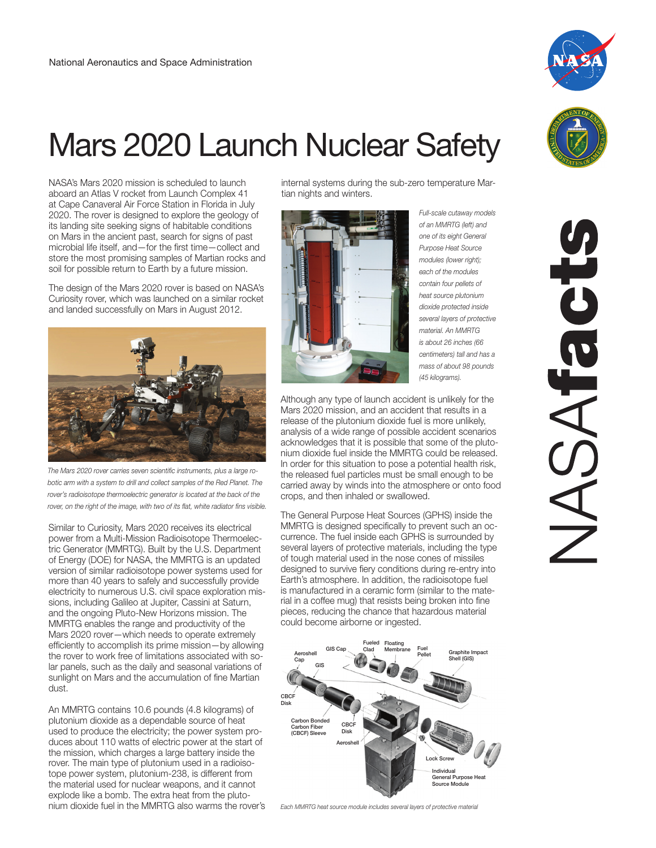## Mars 2020 Launch Nuclear Safety

NASA's Mars 2020 mission is scheduled to launch aboard an Atlas V rocket from Launch Complex 41 at Cape Canaveral Air Force Station in Florida in July 2020. The rover is designed to explore the geology of its landing site seeking signs of habitable conditions on Mars in the ancient past, search for signs of past microbial life itself, and—for the first time—collect and store the most promising samples of Martian rocks and soil for possible return to Earth by a future mission.

The design of the Mars 2020 rover is based on NASA's Curiosity rover, which was launched on a similar rocket and landed successfully on Mars in August 2012.



rover's radioisotope thermoelectric generator is located at the back of the *rover, on the right of the image, with two of its flat, white radiator fins visible.*

Similar to Curiosity, Mars 2020 receives its electrical power from a Multi-Mission Radioisotope Thermoelectric Generator (MMRTG). Built by the U.S. Department of Energy (DOE) for NASA, the MMRTG is an updated version of similar radioisotope power systems used for more than 40 years to safely and successfully provide electricity to numerous U.S. civil space exploration missions, including Galileo at Jupiter, Cassini at Saturn, and the ongoing Pluto-New Horizons mission. The MMRTG enables the range and productivity of the Mars 2020 rover—which needs to operate extremely efficiently to accomplish its prime mission—by allowing the rover to work free of limitations associated with solar panels, such as the daily and seasonal variations of sunlight on Mars and the accumulation of fine Martian dust.

An MMRTG contains 10.6 pounds (4.8 kilograms) of plutonium dioxide as a dependable source of heat used to produce the electricity; the power system produces about 110 watts of electric power at the start of the mission, which charges a large battery inside the rover. The main type of plutonium used in a radioisotope power system, plutonium-238, is different from the material used for nuclear weapons, and it cannot explode like a bomb. The extra heat from the pluto-<br>nium dioxide fuel in the MMRTG also warms the rover's internal systems during the sub-zero temperature Martian nights and winters.



*Full-scale cutaway models of an MMRTG (left) and one of its eight General Purpose Heat Source modules (lower right); each of the modules contain four pellets of heat source plutonium dioxide protected inside several layers of protective material. An MMRTG is about 26 inches (66 centimeters) tall and has a mass of about 98 pounds (45 kilograms).*

Although any type of launch accident is unlikely for the Mars 2020 mission, and an accident that results in a release of the plutonium dioxide fuel is more unlikely, analysis of a wide range of possible accident scenarios acknowledges that it is possible that some of the plutonium dioxide fuel inside the MMRTG could be released. In order for this situation to pose a potential health risk, the released fuel particles must be small enough to be carried away by winds into the atmosphere or onto food crops, and then inhaled or swallowed.

The General Purpose Heat Sources (GPHS) inside the MMRTG is designed specifically to prevent such an occurrence. The fuel inside each GPHS is surrounded by several layers of protective materials, including the type of tough material used in the nose cones of missiles designed to survive fiery conditions during re-entry into Earth's atmosphere. In addition, the radioisotope fuel is manufactured in a ceramic form (similar to the material in a coffee mug) that resists being broken into fine pieces, reducing the chance that hazardous material could become airborne or ingested.



Each MMRTG heat source module includes several layers of protective material